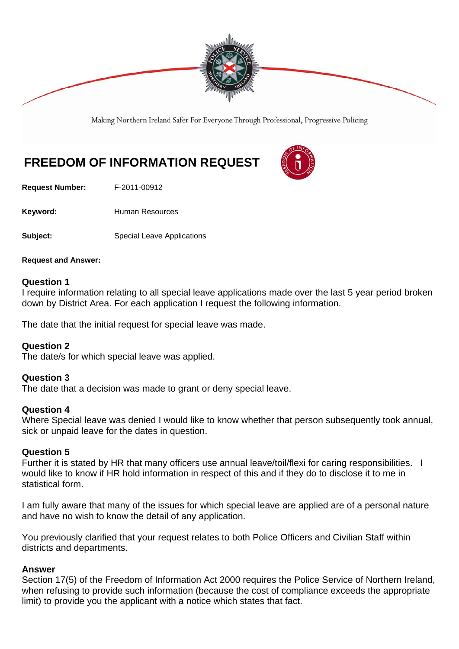

Making Northern Ireland Safer For Everyone Through Professional, Progressive Policing

# **FREEDOM OF INFORMATION REQUEST**

**Request Number:** F-2011-00912

Keyword: **Human Resources** 

**Subject:** Special Leave Applications

**Request and Answer:** 

# **Question 1**

I require information relating to all special leave applications made over the last 5 year period broken down by District Area. For each application I request the following information.

The date that the initial request for special leave was made.

# **Question 2**

The date/s for which special leave was applied.

# **Question 3**

The date that a decision was made to grant or deny special leave.

# **Question 4**

Where Special leave was denied I would like to know whether that person subsequently took annual, sick or unpaid leave for the dates in question.

# **Question 5**

Further it is stated by HR that many officers use annual leave/toil/flexi for caring responsibilities. I would like to know if HR hold information in respect of this and if they do to disclose it to me in statistical form.

I am fully aware that many of the issues for which special leave are applied are of a personal nature and have no wish to know the detail of any application.

You previously clarified that your request relates to both Police Officers and Civilian Staff within districts and departments.

# **Answer**

Section 17(5) of the Freedom of Information Act 2000 requires the Police Service of Northern Ireland, when refusing to provide such information (because the cost of compliance exceeds the appropriate limit) to provide you the applicant with a notice which states that fact.